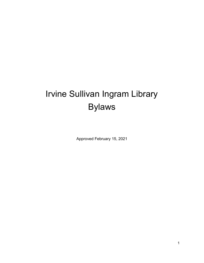# Irvine Sullivan Ingram Library Bylaws

Approved February 15, 2021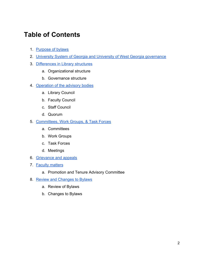## **Table of Contents**

- 1. [Purpose of bylaws](#page-2-0)
- 2. [University System of Georgia and University of West Georgia governance](#page-2-1)
- 3. Differences in Library structures
	- a. Organizational structure
	- b. Governance structure
- 4. [Operation of the advisory bodies](#page-4-0)
	- a. Library Council
	- b. Faculty Council
	- c. Staff Council
	- d. Quorum
- 5. [Committees, Work Groups, & Task Forces](#page-7-0)
	- a. Committees
	- b. Work Groups
	- c. Task Forces
	- d. Meetings
- 6. [Grievance and appeals](#page-8-0)
- 7. [Faculty matters](#page-9-0)
	- a. Promotion and Tenure Advisory Committee
- 8. [Review and Changes to Bylaws](#page-9-1)
	- a. Review of Bylaws
	- b. Changes to Bylaws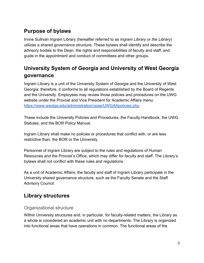### <span id="page-2-0"></span>**Purpose of bylaws**

Irvine Sullivan Ingram Library (hereafter referred to as *Ingram Library* or *the Library*) utilizes a shared governance structure. These bylaws shall identify and describe the advisory bodies to the Dean, the rights and responsibilities of faculty and staff, and guide in the appointment and conduct of committees and other groups.

### <span id="page-2-1"></span>**University System of Georgia and University of West Georgia governance**

Ingram Library is a unit of the University System of Georgia and the University of West Georgia; therefore, it conforms to all regulations established by the Board of Regents and the University. Employees may review those policies and procedures on the UWG website under the Provost and Vice President for Academic Affairs menu: <https://www.westga.edu/administration/vpaa/UWGAApolicies.php>

These include the University Policies and Procedures, the Faculty Handbook, the UWG Statutes, and the BOR Policy Manual.

Ingram Library shall make no policies or procedures that conflict with, or are less restrictive than, the BOR or the University.

Personnel of Ingram Library are subject to the rules and regulations of Human Resources and the Provost's Office, which may differ for faculty and staff. The Library's bylaws shall not conflict with these rules and regulations.

As a unit of Academic Affairs, the faculty and staff of Ingram Library participate in the University shared governance structure, such as the Faculty Senate and the Staff Advisory Council.

### **Library structures**

### Organizational structure

Within University structures and, in particular, for faculty-related matters, the Library as a whole is considered an academic unit with no departments. The Library is organized into functional areas that have operations in common. The functional areas of the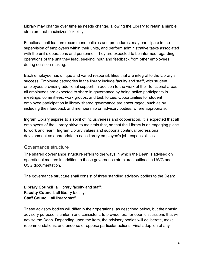Library may change over time as needs change, allowing the Library to retain a nimble structure that maximizes flexibility.

Functional unit leaders recommend policies and procedures, may participate in the supervision of employees within their units, and perform administrative tasks associated with the unit's operations and personnel. They are expected to be informed regarding operations of the unit they lead, seeking input and feedback from other employees during decision-making.

Each employee has unique and varied responsibilities that are integral to the Library's success. Employee categories in the library include faculty and staff, with student employees providing additional support. In addition to the work of their functional areas, all employees are expected to share in governance by being active participants in meetings, committees, work groups, and task forces. Opportunities for student employee participation in library shared governance are encouraged, such as by including their feedback and membership on advisory bodies, where appropriate.

Ingram Library aspires to a spirit of inclusiveness and cooperation. It is expected that all employees of the Library strive to maintain that, so that the Library is an engaging place to work and learn. Ingram Library values and supports continual professional development as appropriate to each library employee's job responsibilities.

#### Governance structure

The shared governance structure refers to the ways in which the Dean is advised on operational matters in addition to those governance structures outlined in UWG and USG documentation.

The governance structure shall consist of three standing advisory bodies to the Dean:

**Library Council**: all library faculty and staff; **Faculty Council**: all library faculty; **Staff Council**: all library staff;

These advisory bodies will differ in their operations, as described below, but their basic advisory purpose is uniform and consistent: to provide fora for open discussions that will advise the Dean. Depending upon the item, the advisory bodies will deliberate, make recommendations, and endorse or oppose particular actions. Final adoption of any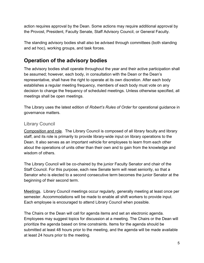action requires approval by the Dean. Some actions may require additional approval by the Provost, President, Faculty Senate, Staff Advisory Council, or General Faculty.

The standing advisory bodies shall also be advised through committees (both standing and ad hoc), working groups, and task forces.

### <span id="page-4-0"></span>**Operation of the advisory bodies**

The advisory bodies shall operate throughout the year and their active participation shall be assumed; however, each body, in consultation with the Dean or the Dean's representative, shall have the right to operate at its own discretion. After each body establishes a regular meeting frequency, members of each body must vote on any decision to change the frequency of scheduled meetings. Unless otherwise specified, all meetings shall be open meetings.

The Library uses the latest edition of *Robert's Rules of Order* for operational guidance in governance matters.

### Library Council

Composition and role. The Library Council is composed of all library faculty and library staff, and its role is primarily to provide library-wide input on library operations to the Dean. It also serves as an important vehicle for employees to learn from each other about the operations of units other than their own and to gain from the knowledge and wisdom of others.

The Library Council will be co-chaired by the junior Faculty Senator and chair of the Staff Council. For this purpose, each new Senate term will reset seniority, so that a Senator who is elected to a second consecutive term becomes the junior Senator at the beginning of their second term.

Meetings. Library Council meetings occur regularly, generally meeting at least once per semester. Accommodations will be made to enable all shift workers to provide input. Each employee is encouraged to attend Library Council when possible.

The Chairs or the Dean will call for agenda items and set an electronic agenda. Employees may suggest topics for discussion at a meeting. The Chairs or the Dean will prioritize the agenda based on time constraints. Items for the agenda should be submitted at least 48 hours prior to the meeting, and the agenda will be made available at least 24 hours prior to the meeting.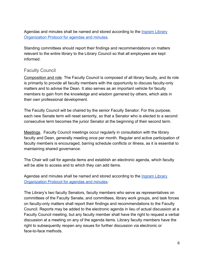Agendas and minutes shall be named and stored according to the [Ingram Library](https://docs.google.com/document/d/10YnlOma_sZq2hGYkBGy-v3PYV0Gxp8lU0hjEycihLiY/edit#) [Organization Protocol for agendas and minutes](https://docs.google.com/document/d/10YnlOma_sZq2hGYkBGy-v3PYV0Gxp8lU0hjEycihLiY/edit#).

Standing committees should report their findings and recommendations on matters relevant to the entire library to the Library Council so that all employees are kept informed.

#### Faculty Council

Composition and role. The Faculty Council is composed of all library faculty, and its role is primarily to provide all faculty members with the opportunity to discuss faculty-only matters and to advise the Dean. It also serves as an important vehicle for faculty members to gain from the knowledge and wisdom garnered by others, which aids in their own professional development.

The Faculty Council will be chaired by the senior Faculty Senator. For this purpose, each new Senate term will reset seniority, so that a Senator who is elected to a second consecutive term becomes the junior Senator at the beginning of their second term.

Meetings. Faculty Council meetings occur regularly in consultation with the library faculty and Dean, generally meeting once per month. Regular and active participation of faculty members is encouraged, barring schedule conflicts or illness, as it is essential to maintaining shared governance.

The Chair will call for agenda items and establish an electronic agenda, which faculty will be able to access and to which they can add items.

Agendas and minutes shall be named and stored according to the [Ingram Library](https://docs.google.com/document/d/10YnlOma_sZq2hGYkBGy-v3PYV0Gxp8lU0hjEycihLiY/edit#) [Organization Protocol for agendas and minutes](https://docs.google.com/document/d/10YnlOma_sZq2hGYkBGy-v3PYV0Gxp8lU0hjEycihLiY/edit#).

The Library's two faculty Senators, faculty members who serve as representatives on committees of the Faculty Senate, and committees, library work groups, and task forces on faculty-only matters shall report their findings and recommendations to the Faculty Council. Reports may be added to the electronic agenda in lieu of actual discussion at a Faculty Council meeting, but any faculty member shall have the right to request a verbal discussion at a meeting on any of the agenda items. Library faculty members have the right to subsequently reopen any issues for further discussion via electronic or face-to-face methods.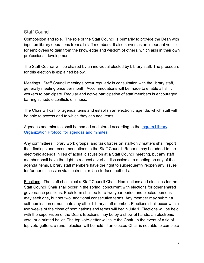#### Staff Council

Composition and role. The role of the Staff Council is primarily to provide the Dean with input on library operations from all staff members. It also serves as an important vehicle for employees to gain from the knowledge and wisdom of others, which aids in their own professional development.

The Staff Council will be chaired by an individual elected by Library staff. The procedure for this election is explained below.

Meetings. Staff Council meetings occur regularly in consultation with the library staff, generally meeting once per month. Accommodations will be made to enable all shift workers to participate. Regular and active participation of staff members is encouraged, barring schedule conflicts or illness.

The Chair will call for agenda items and establish an electronic agenda, which staff will be able to access and to which they can add items.

Agendas and minutes shall be named and stored according to the *[Ingram Library](https://docs.google.com/document/d/10YnlOma_sZq2hGYkBGy-v3PYV0Gxp8lU0hjEycihLiY/edit#)* [Organization Protocol for agendas and minutes](https://docs.google.com/document/d/10YnlOma_sZq2hGYkBGy-v3PYV0Gxp8lU0hjEycihLiY/edit#).

Any committees, library work groups, and task forces on staff-only matters shall report their findings and recommendations to the Staff Council. Reports may be added to the electronic agenda in lieu of actual discussion at a Staff Council meeting, but any staff member shall have the right to request a verbal discussion at a meeting on any of the agenda items. Library staff members have the right to subsequently reopen any issues for further discussion via electronic or face-to-face methods.

Elections. The staff shall elect a Staff Council Chair. Nominations and elections for the Staff Council Chair shall occur in the spring, concurrent with elections for other shared governance positions. Each term shall be for a two year period and elected persons may seek one, but not two, additional consecutive terms. Any member may submit a self-nomination or nominate any other Library staff member. Elections shall occur within two weeks of the close of nominations and terms will begin July 1. Elections will be held with the supervision of the Dean. Elections may be by a show of hands, an electronic vote, or a printed ballot. The top vote-getter will take the Chair. In the event of a tie of top vote-getters, a runoff election will be held. If an elected Chair is not able to complete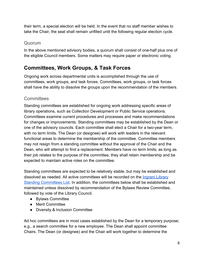their term, a special election will be held. In the event that no staff member wishes to take the Chair, the seat shall remain unfilled until the following regular election cycle.

### Quorum

In the above mentioned advisory bodies, a quorum shall consist of one-half plus one of the eligible Council members. Some matters may require paper or electronic voting.

### <span id="page-7-0"></span>**Committees, Work Groups, & Task Forces**

Ongoing work across departmental units is accomplished through the use of committees, work groups, and task forces. Committees, work groups, or task forces shall have the ability to dissolve the groups upon the recommendation of the members.

### **Committees**

Standing committees are established for ongoing work addressing specific areas of library operations, such as Collection Development or Public Service operations. Committees examine current procedures and processes and make recommendations for changes or improvements. Standing committees may be established by the Dean or one of the advisory councils. Each committee shall elect a Chair for a two-year term, with no term limits. The Dean (or designee) will work with leaders in the relevant functional areas to determine the membership of the committee. Committee members may not resign from a standing committee without the approval of the Chair and the Dean, who will attempt to find a replacement. Members have no term limits; as long as their job relates to the purpose of the committee, they shall retain membership and be expected to maintain active roles on the committee.

Standing committees are expected to be relatively stable, but may be established and dissolved as needed. All active committees will be recorded on the [Ingram Library](https://docs.google.com/document/d/1Ff_swR6j3ft5aXjFFXnSwtnIDBLA1BG-_sru4R8Xvjk/edit) [Standing Committees List](https://docs.google.com/document/d/1Ff_swR6j3ft5aXjFFXnSwtnIDBLA1BG-_sru4R8Xvjk/edit). In addition, the committees below shall be established and maintained unless dissolved by recommendation of the Bylaws Review Committee, followed by vote of the Library Council.

- Bylaws Committee
- Merit Committee
- Diversity & Inclusion Committee

Ad hoc committees are in most cases established by the Dean for a temporary purpose; e.g., a search committee for a new employee. The Dean shall appoint committee Chairs. The Dean (or designee) and the Chair will work together to determine the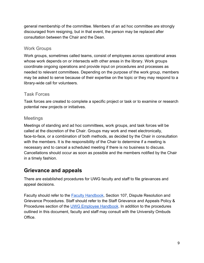general membership of the committee. Members of an ad hoc committee are strongly discouraged from resigning, but in that event, the person may be replaced after consultation between the Chair and the Dean.

### Work Groups

Work groups, sometimes called teams, consist of employees across operational areas whose work depends on or intersects with other areas in the library. Work groups coordinate ongoing operations and provide input on procedures and processes as needed to relevant committees. Depending on the purpose of the work group, members may be asked to serve because of their expertise on the topic or they may respond to a library-wide call for volunteers.

### Task Forces

Task forces are created to complete a specific project or task or to examine or research potential new projects or initiatives.

### Meetings

Meetings of standing and ad hoc committees, work groups, and task forces will be called at the discretion of the Chair. Groups may work and meet electronically, face-to-face, or a combination of both methods, as decided by the Chair in consultation with the members. It is the responsibility of the Chair to determine if a meeting is necessary and to cancel a scheduled meeting if there is no business to discuss. Cancellations should occur as soon as possible and the members notified by the Chair in a timely fashion.

### <span id="page-8-0"></span>**Grievance and appeals**

There are established procedures for UWG faculty and staff to file grievances and appeal decisions.

Faculty should refer to the **[Faculty Handbook](https://www.westga.edu/administration/vpaa/assets/docs/faculty-handbook.pdf)**, Section 107, Dispute Resolution and Grievance Procedures. Staff should refer to the Staff Grievance and Appeals Policy & Procedures section of the [UWG Employee Handbook.](https://www.westga.edu/hr/assets-hrpay/docs/employee-handbook-2015.pdf) In addition to the procedures outlined in this document, faculty and staff may consult with the University Ombuds Office.